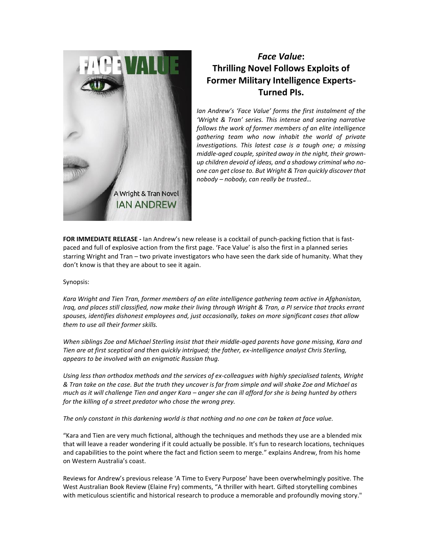

## *Face Value***: Thrilling Novel Follows Exploits of Former Military Intelligence Experts-Turned PIs.**

*Ian Andrew's 'Face Value' forms the first instalment of the 'Wright & Tran' series. This intense and searing narrative follows the work of former members of an elite intelligence gathering team who now inhabit the world of private investigations. This latest case is a tough one; a missing middle-aged couple, spirited away in the night, their grownup children devoid of ideas, and a shadowy criminal who noone can get close to. But Wright & Tran quickly discover that nobody – nobody, can really be trusted…*

**FOR IMMEDIATE RELEASE -** Ian Andrew's new release is a cocktail of punch-packing fiction that is fastpaced and full of explosive action from the first page. 'Face Value' is also the first in a planned series starring Wright and Tran – two private investigators who have seen the dark side of humanity. What they don't know is that they are about to see it again.

## Synopsis:

*Kara Wright and Tien Tran, former members of an elite intelligence gathering team active in Afghanistan, Iraq, and places still classified, now make their living through Wright & Tran, a PI service that tracks errant spouses, identifies dishonest employees and, just occasionally, takes on more significant cases that allow them to use all their former skills.* 

*When siblings Zoe and Michael Sterling insist that their middle-aged parents have gone missing, Kara and Tien are at first sceptical and then quickly intrigued; the father, ex-intelligence analyst Chris Sterling, appears to be involved with an enigmatic Russian thug.* 

*Using less than orthodox methods and the services of ex-colleagues with highly specialised talents, Wright & Tran take on the case. But the truth they uncover is far from simple and will shake Zoe and Michael as much as it will challenge Tien and anger Kara – anger she can ill afford for she is being hunted by others for the killing of a street predator who chose the wrong prey.* 

*The only constant in this darkening world is that nothing and no one can be taken at face value.*

"Kara and Tien are very much fictional, although the techniques and methods they use are a blended mix that will leave a reader wondering if it could actually be possible. It's fun to research locations, techniques and capabilities to the point where the fact and fiction seem to merge." explains Andrew, from his home on Western Australia's coast.

Reviews for Andrew's previous release 'A Time to Every Purpose' have been overwhelmingly positive. The West Australian Book Review (Elaine Fry) comments, "A thriller with heart. Gifted storytelling combines with meticulous scientific and historical research to produce a memorable and profoundly moving story."